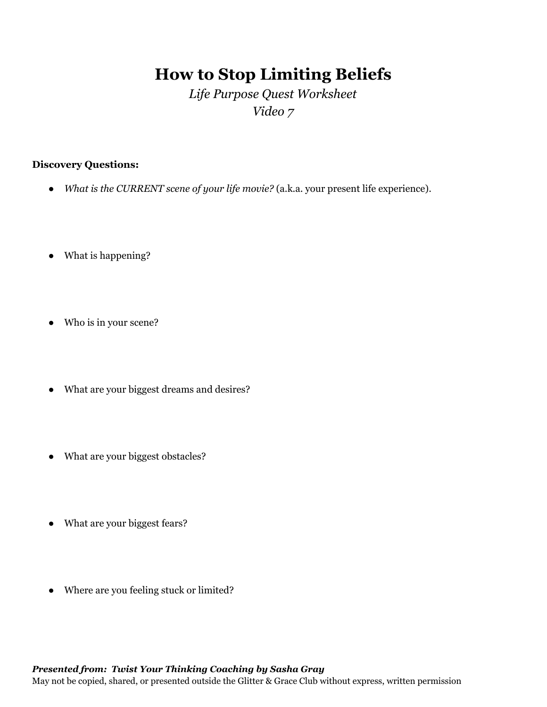# **How to Stop Limiting Beliefs**

# *Life Purpose Quest Worksheet Video 7*

### **Discovery Questions:**

- *What is the CURRENT scene of your life movie?* (a.k.a. your present life experience).
- What is happening?
- Who is in your scene?
- What are your biggest dreams and desires?
- What are your biggest obstacles?
- What are your biggest fears?
- Where are you feeling stuck or limited?

## *Presented from: Twist Your Thinking Coaching by Sasha Gray*

May not be copied, shared, or presented outside the Glitter & Grace Club without express, written permission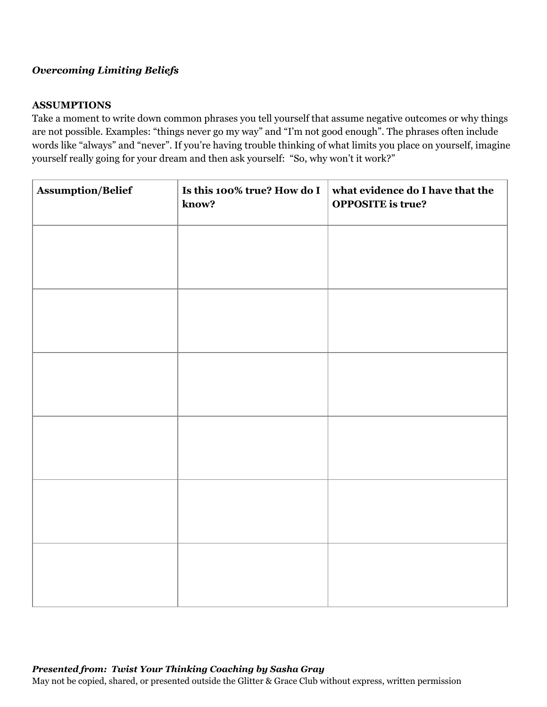#### *Overcoming Limiting Beliefs*

#### **ASSUMPTIONS**

Take a moment to write down common phrases you tell yourself that assume negative outcomes or why things are not possible. Examples: "things never go my way" and "I'm not good enough". The phrases often include words like "always" and "never". If you're having trouble thinking of what limits you place on yourself, imagine yourself really going for your dream and then ask yourself: "So, why won't it work?"

| <b>Assumption/Belief</b> | Is this 100% true? How do I<br>know? | what evidence do I have that the<br><b>OPPOSITE</b> is true? |
|--------------------------|--------------------------------------|--------------------------------------------------------------|
|                          |                                      |                                                              |
|                          |                                      |                                                              |
|                          |                                      |                                                              |
|                          |                                      |                                                              |
|                          |                                      |                                                              |
|                          |                                      |                                                              |
|                          |                                      |                                                              |
|                          |                                      |                                                              |
|                          |                                      |                                                              |
|                          |                                      |                                                              |
|                          |                                      |                                                              |
|                          |                                      |                                                              |

#### *Presented from: Twist Your Thinking Coaching by Sasha Gray*

May not be copied, shared, or presented outside the Glitter & Grace Club without express, written permission